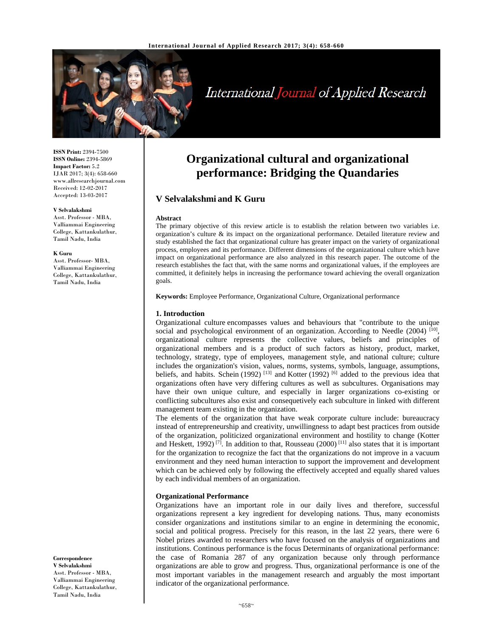

# International Journal of Applied Research

**ISSN Print:** 2394-7500 **ISSN Online:** 2394-5869 **Impact Factor:** 5.2 IJAR 2017; 3(4): 658-660 www.allresearchjournal.com Received: 12-02-2017 Accepted: 13-03-2017

#### **V Selvalakshmi**

Asst. Professor - MBA, Valliammai Engineering College, Kattankulathur, Tamil Nadu, India

#### **K Guru**

Asst. Professor- MBA, Valliammai Engineering College, Kattankulathur, Tamil Nadu, India

**Correspondence V Selvalakshmi**  Asst. Professor - MBA, Valliammai Engineering College, Kattankulathur, Tamil Nadu, India

# **Organizational cultural and organizational performance: Bridging the Quandaries**

# **V Selvalakshmi and K Guru**

#### **Abstract**

The primary objective of this review article is to establish the relation between two variables i.e. organization's culture & its impact on the organizational performance. Detailed literature review and study established the fact that organizational culture has greater impact on the variety of organizational process, employees and its performance. Different dimensions of the organizational culture which have impact on organizational performance are also analyzed in this research paper. The outcome of the research establishes the fact that, with the same norms and organizational values, if the employees are committed, it definitely helps in increasing the performance toward achieving the overall organization goals.

**Keywords:** Employee Performance, Organizational Culture, Organizational performance

#### **1. Introduction**

Organizational culture encompasses values and behaviours that "contribute to the unique social and psychological environment of an organization. According to Needle  $(2004)$  [10], organizational culture represents the collective values, beliefs and principles of organizational members and is a product of such factors as history, product, market, technology, strategy, type of employees, management style, and national culture; culture includes the organization's vision, values, norms, systems, symbols, language, assumptions, beliefs, and habits. Schein (1992)  $^{[13]}$  and Kotter (1992)  $^{[6]}$  added to the previous idea that organizations often have very differing cultures as well as subcultures. Organisations may have their own unique culture, and especially in larger organizations co-existing or conflicting subcultures also exist and consequetively each subculture in linked with different management team existing in the organization.

The elements of the organization that have weak corporate culture include: bureaucracy instead of entrepreneurship and creativity, unwillingness to adapt best practices from outside of the organization, politicized organizational environment and hostility to change (Kotter and Heskett, 1992)<sup>[7]</sup>. In addition to that, Rousseau (2000)<sup>[11]</sup> also states that it is important for the organization to recognize the fact that the organizations do not improve in a vacuum environment and they need human interaction to support the improvement and development which can be achieved only by following the effectively accepted and equally shared values by each individual members of an organization.

#### **Organizational Performance**

Organizations have an important role in our daily lives and therefore, successful organizations represent a key ingredient for developing nations. Thus, many economists consider organizations and institutions similar to an engine in determining the economic, social and political progress. Precisely for this reason, in the last 22 years, there were 6 Nobel prizes awarded to researchers who have focused on the analysis of organizations and institutions. Continous performance is the focus Determinants of organizational performance: the case of Romania 287 of any organization because only through performance organizations are able to grow and progress. Thus, organizational performance is one of the most important variables in the management research and arguably the most important indicator of the organizational performance.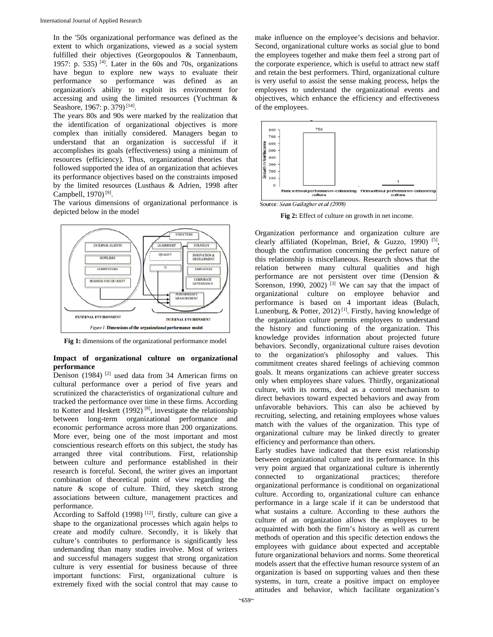In the '50s organizational performance was defined as the extent to which organizations, viewed as a social system fulfilled their objectives (Georgopoulos & Tannenbaum, 1957: p. 535) <sup>[4]</sup>. Later in the  $60s$  and 70s, organizations have begun to explore new ways to evaluate their performance so performance was defined as an organization's ability to exploit its environment for accessing and using the limited resources (Yuchtman & Seashore, 1967: p. 379)<sup>[14]</sup>.

The years 80s and 90s were marked by the realization that the identification of organizational objectives is more complex than initially considered. Managers began to understand that an organization is successful if it accomplishes its goals (effectiveness) using a minimum of resources (efficiency). Thus, organizational theories that followed supported the idea of an organization that achieves its performance objectives based on the constraints imposed by the limited resources (Lusthaus & Adrien, 1998 after Campbell, 1970) [9].

The various dimensions of organizational performance is depicted below in the model



**Fig 1:** dimensions of the organizational performance model

## **Impact of organizational culture on organizational performance**

Denison (1984)<sup>[2]</sup> used data from 34 American firms on cultural performance over a period of five years and scrutinized the characteristics of organizational culture and tracked the performance over time in these firms. According to Kotter and Heskett (1992)<sup>[8]</sup>, investigate the relationship between long-term organizational performance and economic performance across more than 200 organizations. More ever, being one of the most important and most conscientious research efforts on this subject, the study has arranged three vital contributions. First, relationship between culture and performance established in their research is forceful. Second, the writer gives an important combination of theoretical point of view regarding the nature & scope of culture. Third, they sketch strong associations between culture, management practices and performance.

According to Saffold (1998)  $[12]$ , firstly, culture can give a shape to the organizational processes which again helps to create and modify culture. Secondly, it is likely that culture's contributes to performance is significantly less undemanding than many studies involve. Most of writers and successful managers suggest that strong organization culture is very essential for business because of three important functions: First, organizational culture is extremely fixed with the social control that may cause to

make influence on the employee's decisions and behavior. Second, organizational culture works as social glue to bond the employees together and make them feel a strong part of the corporate experience, which is useful to attract new staff and retain the best performers. Third, organizational culture is very useful to assist the sense making process, helps the employees to understand the organizational events and objectives, which enhance the efficiency and effectiveness of the employees.



**Fig 2:** Effect of culture on growth in net income.

Organization performance and organization culture are clearly affiliated (Kopelman, Brief, & Guzzo, 1990) [5], though the confirmation concerning the perfect nature of this relationship is miscellaneous. Research shows that the relation between many cultural qualities and high performance are not persistent over time (Dension & Sorenson, 1990, 2002)<sup>[3]</sup> We can say that the impact of organizational culture on employee behavior and performance is based on 4 important ideas (Bulach, Lunenburg, & Potter, 2012)<sup>[1]</sup>. Firstly, having knowledge of the organization culture permits employees to understand the history and functioning of the organization. This knowledge provides information about projected future behaviors. Secondly, organizational culture raises devotion to the organization's philosophy and values. This commitment creates shared feelings of achieving common goals. It means organizations can achieve greater success only when employees share values. Thirdly, organizational culture, with its norms, deal as a control mechanism to direct behaviors toward expected behaviors and away from unfavorable behaviors. This can also be achieved by recruiting, selecting, and retaining employees whose values match with the values of the organization. This type of organizational culture may be linked directly to greater efficiency and performance than others.

Early studies have indicated that there exist relationship between organizational culture and its performance. In this very point argued that organizational culture is inherently connected to organizational practices; therefore organizational performance is conditional on organizational culture. According to, organizational culture can enhance performance in a large scale if it can be understood that what sustains a culture. According to these authors the culture of an organization allows the employees to be acquainted with both the firm's history as well as current methods of operation and this specific detection endows the employees with guidance about expected and acceptable future organizational behaviors and norms. Some theoretical models assert that the effective human resource system of an organization is based on supporting values and then these systems, in turn, create a positive impact on employee attitudes and behavior, which facilitate organization's